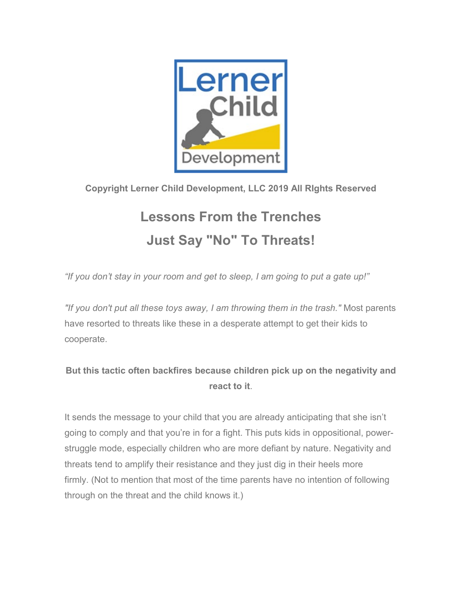

## **Copyright Lerner Child Development, LLC 2019 All RIghts Reserved**

## **Lessons From the Trenches Just Say "No" To Threats!**

*"If you don't stay in your room and get to sleep, I am going to put a gate up!"*

*"If you don't put all these toys away, I am throwing them in the trash."* Most parents have resorted to threats like these in a desperate attempt to get their kids to cooperate.

## **But this tactic often backfires because children pick up on the negativity and react to it**.

It sends the message to your child that you are already anticipating that she isn't going to comply and that you're in for a fight. This puts kids in oppositional, powerstruggle mode, especially children who are more defiant by nature. Negativity and threats tend to amplify their resistance and they just dig in their heels more firmly. (Not to mention that most of the time parents have no intention of following through on the threat and the child knows it.)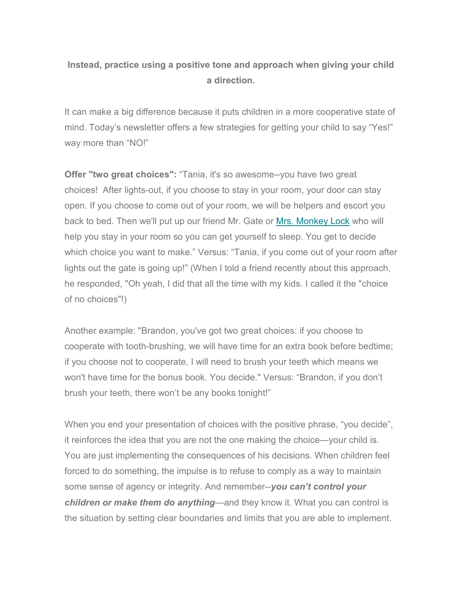## **Instead, practice using a positive tone and approach when giving your child a direction.**

It can make a big difference because it puts children in a more cooperative state of mind. Today's newsletter offers a few strategies for getting your child to say "Yes!" way more than "NO!"

**Offer "two great choices":** "Tania, it's so awesome--you have two great choices! After lights-out, if you choose to stay in your room, your door can stay open. If you choose to come out of your room, we will be helpers and escort you back to bed. Then we'll put up our friend Mr. Gate or [Mrs. Monkey Lock](https://lernerchilddevelopment.us19.list-manage.com/track/click?u=cc5fb566be790dc68f5832292&id=b16d7fcaa3&e=4b82b78741) who will help you stay in your room so you can get yourself to sleep. You get to decide which choice you want to make." Versus: "Tania, if you come out of your room after lights out the gate is going up!" (When I told a friend recently about this approach, he responded, "Oh yeah, I did that all the time with my kids. I called it the "choice of no choices"!)

Another example: "Brandon, you've got two great choices: if you choose to cooperate with tooth-brushing, we will have time for an extra book before bedtime; if you choose not to cooperate, I will need to brush your teeth which means we won't have time for the bonus book. You decide." Versus: "Brandon, if you don't brush your teeth, there won't be any books tonight!"

When you end your presentation of choices with the positive phrase, "you decide", it reinforces the idea that you are not the one making the choice—your child is. You are just implementing the consequences of his decisions. When children feel forced to do something, the impulse is to refuse to comply as a way to maintain some sense of agency or integrity. And remember--*you can't control your children or make them do anything*—and they know it. What you can control is the situation by setting clear boundaries and limits that you are able to implement.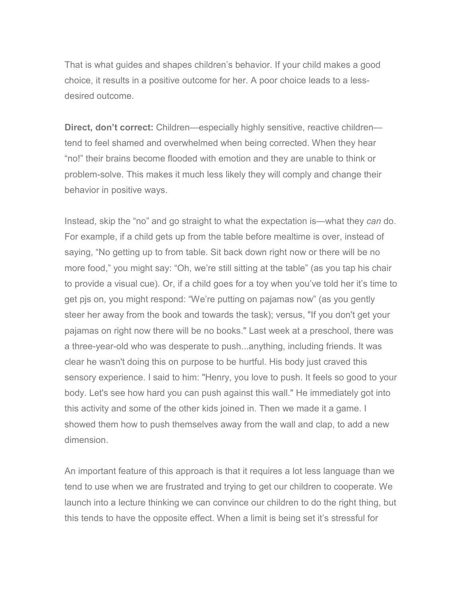That is what guides and shapes children's behavior. If your child makes a good choice, it results in a positive outcome for her. A poor choice leads to a lessdesired outcome.

**Direct, don't correct:** Children—especially highly sensitive, reactive children tend to feel shamed and overwhelmed when being corrected. When they hear "no!" their brains become flooded with emotion and they are unable to think or problem-solve. This makes it much less likely they will comply and change their behavior in positive ways.

Instead, skip the "no" and go straight to what the expectation is—what they *can* do. For example, if a child gets up from the table before mealtime is over, instead of saying, "No getting up to from table. Sit back down right now or there will be no more food," you might say: "Oh, we're still sitting at the table" (as you tap his chair to provide a visual cue). Or, if a child goes for a toy when you've told her it's time to get pjs on, you might respond: "We're putting on pajamas now" (as you gently steer her away from the book and towards the task); versus, "If you don't get your pajamas on right now there will be no books." Last week at a preschool, there was a three-year-old who was desperate to push...anything, including friends. It was clear he wasn't doing this on purpose to be hurtful. His body just craved this sensory experience. I said to him: "Henry, you love to push. It feels so good to your body. Let's see how hard you can push against this wall." He immediately got into this activity and some of the other kids joined in. Then we made it a game. I showed them how to push themselves away from the wall and clap, to add a new dimension.

An important feature of this approach is that it requires a lot less language than we tend to use when we are frustrated and trying to get our children to cooperate. We launch into a lecture thinking we can convince our children to do the right thing, but this tends to have the opposite effect. When a limit is being set it's stressful for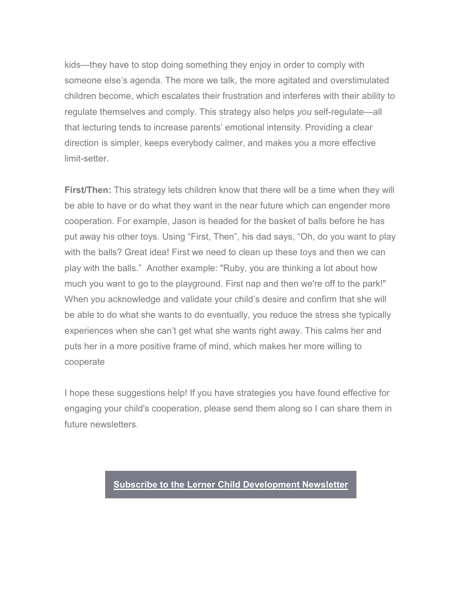kids—they have to stop doing something they enjoy in order to comply with someone else's agenda. The more we talk, the more agitated and overstimulated children become, which escalates their frustration and interferes with their ability to regulate themselves and comply. This strategy also helps *you* self-regulate—all that lecturing tends to increase parents' emotional intensity. Providing a clear direction is simpler, keeps everybody calmer, and makes you a more effective limit-setter.

**First/Then:** This strategy lets children know that there will be a time when they will be able to have or do what they want in the near future which can engender more cooperation. For example, Jason is headed for the basket of balls before he has put away his other toys. Using "First, Then", his dad says, "Oh, do you want to play with the balls? Great idea! First we need to clean up these toys and then we can play with the balls." Another example: "Ruby, you are thinking a lot about how much you want to go to the playground. First nap and then we're off to the park!" When you acknowledge and validate your child's desire and confirm that she will be able to do what she wants to do eventually, you reduce the stress she typically experiences when she can't get what she wants right away. This calms her and puts her in a more positive frame of mind, which makes her more willing to cooperate

I hope these suggestions help! If you have strategies you have found effective for engaging your child's cooperation, please send them along so I can share them in future newsletters.

**[Subscribe to the Lerner Child Development Newsletter](https://lernerchilddevelopment.us19.list-manage.com/track/click?u=cc5fb566be790dc68f5832292&id=bf82ef146f&e=4b82b78741)**